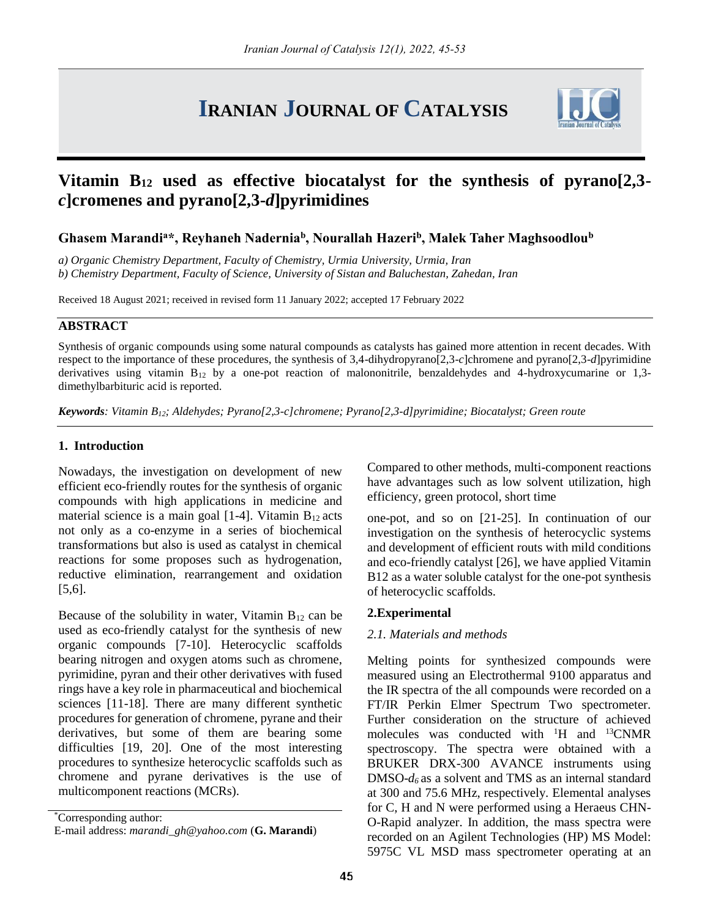# **IRANIAN JOURNAL OF CATALYSIS**



# **Vitamin B<sup>12</sup> used as effective biocatalyst for the synthesis of pyrano[2,3** *c***]cromenes and pyrano[2,3-***d***]pyrimidines**

# **Ghasem Marandi<sup>a</sup>\*, Reyhaneh Nadernia<sup>b</sup> , Nourallah Hazeri<sup>b</sup> , Malek Taher Maghsoodlou<sup>b</sup>**

*a) Organic Chemistry Department, Faculty of Chemistry, Urmia University, Urmia, Iran b) Chemistry Department, Faculty of Science, University of Sistan and Baluchestan, Zahedan, Iran*

Received 18 August 2021; received in revised form 11 January 2022; accepted 17 February 2022

# **ABSTRACT**

Synthesis of organic compounds using some natural compounds as catalysts has gained more attention in recent decades. With respect to the importance of these procedures, the synthesis of 3,4-dihydropyrano[2,3-*c*]chromene and pyrano[2,3-*d*]pyrimidine derivatives using vitamin  $B_{12}$  by a one-pot reaction of malononitrile, benzaldehydes and 4-hydroxycumarine or 1,3dimethylbarbituric acid is reported.

*Keywords: Vitamin B12; Aldehydes; Pyrano[2,3-c]chromene; Pyrano[2,3-d]pyrimidine; Biocatalyst; Green route*

#### **1. Introduction**

Nowadays, the investigation on development of new efficient eco-friendly routes for the synthesis of organic compounds with high applications in medicine and material science is a main goal  $[1-4]$ . Vitamin  $B_{12}$  acts not only as a co-enzyme in a series of biochemical transformations but also is used as catalyst in chemical reactions for some proposes such as hydrogenation, reductive elimination, rearrangement and oxidation [5,6].

Because of the solubility in water, Vitamin  $B_{12}$  can be used as eco-friendly catalyst for the synthesis of new organic compounds [7-10]. Heterocyclic scaffolds bearing nitrogen and oxygen atoms such as chromene, pyrimidine, pyran and their other derivatives with fused rings have a key role in pharmaceutical and biochemical sciences [11-18]. There are many different synthetic procedures for generation of chromene, pyrane and their derivatives, but some of them are bearing some difficulties [19, 20]. One of the most interesting procedures to synthesize heterocyclic scaffolds such as chromene and pyrane derivatives is the use of multicomponent reactions (MCRs).

\*Corresponding author: E-mail address: *marandi\_gh@yahoo.com* (**G. Marandi**) Compared to other methods, multi-component reactions have advantages such as low solvent utilization, high efficiency, green protocol, short time

one-pot, and so on [21-25]. In continuation of our investigation on the synthesis of heterocyclic systems and development of efficient routs with mild conditions and eco-friendly catalyst [26], we have applied Vitamin B12 as a water soluble catalyst for the one-pot synthesis of heterocyclic scaffolds.

#### **2.Experimental**

#### *2.1. Materials and methods*

Melting points for synthesized compounds were measured using an Electrothermal 9100 apparatus and the IR spectra of the all compounds were recorded on a FT/IR Perkin Elmer Spectrum Two spectrometer. Further consideration on the structure of achieved molecules was conducted with <sup>1</sup>H and <sup>13</sup>CNMR spectroscopy. The spectra were obtained with a BRUKER DRX-300 AVANCE instruments using DMSO-*d6* as a solvent and TMS as an internal standard at 300 and 75.6 MHz, respectively. Elemental analyses for C, H and N were performed using a Heraeus CHN-O-Rapid analyzer. In addition, the mass spectra were recorded on an Agilent Technologies (HP) MS Model: 5975C VL MSD mass spectrometer operating at an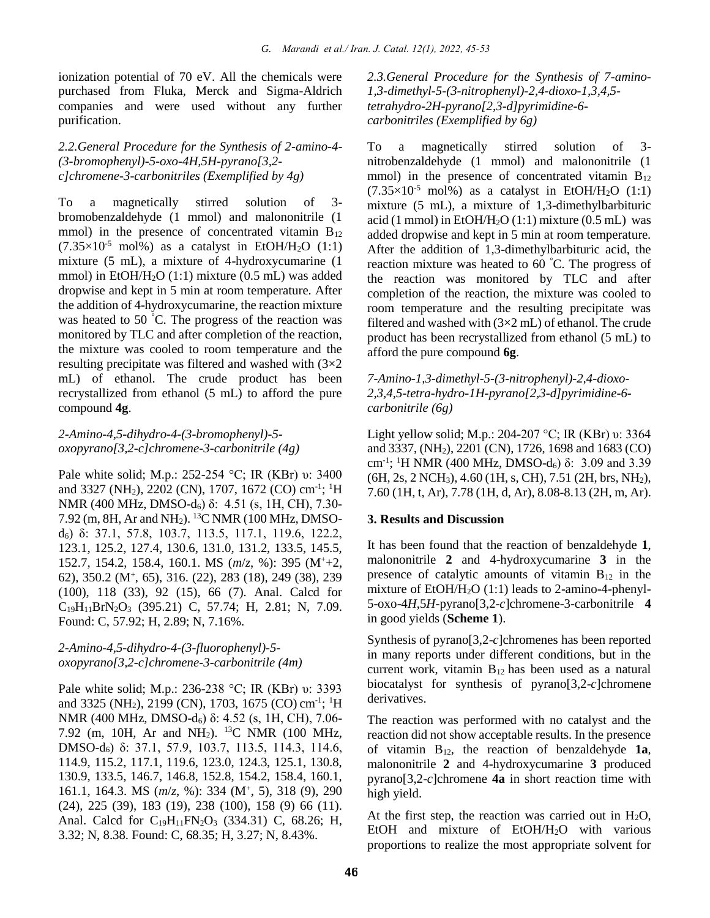ionization potential of 70 eV. All the chemicals were purchased from Fluka, Merck and Sigma-Aldrich companies and were used without any further purification.

#### *2.2.General Procedure for the Synthesis of 2-amino-4- (3-bromophenyl)-5-oxo-4H,5H-pyrano[3,2 c]chromene-3-carbonitriles (Exemplified by 4g)*

To a magnetically stirred solution of 3 bromobenzaldehyde (1 mmol) and malononitrile (1 mmol) in the presence of concentrated vitamin  $B_{12}$  $(7.35\times10^{-5} \text{ mol})$  as a catalyst in EtOH/H<sub>2</sub>O (1:1) mixture (5 mL), a mixture of 4-hydroxycumarine (1 mmol) in EtOH/H<sub>2</sub>O (1:1) mixture (0.5 mL) was added dropwise and kept in 5 min at room temperature. After the addition of 4-hydroxycumarine, the reaction mixture was heated to 50 °C. The progress of the reaction was monitored by TLC and after completion of the reaction, the mixture was cooled to room temperature and the resulting precipitate was filtered and washed with (3×2 mL) of ethanol. The crude product has been recrystallized from ethanol (5 mL) to afford the pure compound **4g**.

# *2-Amino-4,5-dihydro-4-(3-bromophenyl)-5 oxopyrano[3,2-c]chromene-3-carbonitrile (4g)*

Pale white solid; M.p.: 252-254 °C; IR (KBr) υ: 3400 and 3327 (NH<sub>2</sub>), 2202 (CN), 1707, 1672 (CO) cm<sup>-1</sup>; <sup>1</sup>H NMR (400 MHz, DMSO-d<sub>6</sub>) δ: 4.51 (s, 1H, CH), 7.30-7.92 (m, 8H, Ar and NH2). <sup>13</sup>C NMR (100 MHz, DMSOd6) δ: 37.1, 57.8, 103.7, 113.5, 117.1, 119.6, 122.2, 123.1, 125.2, 127.4, 130.6, 131.0, 131.2, 133.5, 145.5, 152.7, 154.2, 158.4, 160.1. MS (*m*/*z*, %): 395 (M<sup>+</sup>+2, 62), 350.2 (M<sup>+</sup> , 65), 316. (22), 283 (18), 249 (38), 239 (100), 118 (33), 92 (15), 66 (7). Anal. Calcd for  $C_{19}H_{11}BrN_2O_3$  (395.21) C, 57.74; H, 2.81; N, 7.09. Found: C, 57.92; H, 2.89; N, 7.16%.

# *2-Amino-4,5-dihydro-4-(3-fluorophenyl)-5 oxopyrano[3,2-c]chromene-3-carbonitrile (4m)*

Pale white solid; M.p.: 236-238 °C; IR (KBr) υ: 3393 and 3325 (NH<sub>2</sub>), 2199 (CN), 1703, 1675 (CO) cm<sup>-1</sup>; <sup>1</sup>H NMR (400 MHz, DMSO-d<sub>6</sub>) δ: 4.52 (s, 1H, CH), 7.06-7.92 (m, 10H, Ar and NH<sub>2</sub>). <sup>13</sup>C NMR (100 MHz, DMSO-d6) δ: 37.1, 57.9, 103.7, 113.5, 114.3, 114.6, 114.9, 115.2, 117.1, 119.6, 123.0, 124.3, 125.1, 130.8, 130.9, 133.5, 146.7, 146.8, 152.8, 154.2, 158.4, 160.1, 161.1, 164.3. MS (*m*/*z*, %): 334 (M<sup>+</sup> , 5), 318 (9), 290 (24), 225 (39), 183 (19), 238 (100), 158 (9) 66 (11). Anal. Calcd for C<sub>19</sub>H<sub>11</sub>FN<sub>2</sub>O<sub>3</sub> (334.31) C, 68.26; H, 3.32; N, 8.38. Found: C, 68.35; H, 3.27; N, 8.43%.

*2.3.General Procedure for the Synthesis of 7-amino-1,3-dimethyl-5-(3-nitrophenyl)-2,4-dioxo-1,3,4,5 tetrahydro-2H-pyrano[2,3-d]pyrimidine-6 carbonitriles (Exemplified by 6g)*

To a magnetically stirred solution of 3 nitrobenzaldehyde (1 mmol) and malononitrile (1 mmol) in the presence of concentrated vitamin  $B_{12}$  $(7.35\times10^{-5} \text{ mol})\%$  as a catalyst in EtOH/H<sub>2</sub>O (1:1) mixture (5 mL), a mixture of 1,3-dimethylbarbituric acid (1 mmol) in EtOH/H<sub>2</sub>O (1:1) mixture (0.5 mL) was added dropwise and kept in 5 min at room temperature. After the addition of 1,3-dimethylbarbituric acid, the reaction mixture was heated to 60 °C. The progress of the reaction was monitored by TLC and after completion of the reaction, the mixture was cooled to room temperature and the resulting precipitate was filtered and washed with  $(3\times2$  mL) of ethanol. The crude product has been recrystallized from ethanol (5 mL) to afford the pure compound **6g**.

#### *7-Amino-1,3-dimethyl-5-(3-nitrophenyl)-2,4-dioxo-2,3,4,5-tetra-hydro-1H-pyrano[2,3-d]pyrimidine-6 carbonitrile (6g)*

Light yellow solid; M.p.: 204-207 °C; IR (KBr) υ: 3364 and 3337, (NH2), 2201 (CN), 1726, 1698 and 1683 (CO) cm<sup>-1</sup>; <sup>1</sup>H NMR (400 MHz, DMSO-d<sub>6</sub>)  $\delta$ : 3.09 and 3.39 (6H, 2s, 2 NCH3), 4.60 (1H, s, CH), 7.51 (2H, brs, NH2), 7.60 (1H, t, Ar), 7.78 (1H, d, Ar), 8.08-8.13 (2H, m, Ar).

# **3. Results and Discussion**

It has been found that the reaction of benzaldehyde **1**, malononitrile **2** and 4-hydroxycumarine **3** in the presence of catalytic amounts of vitamin  $B_{12}$  in the mixture of EtOH/H<sub>2</sub>O (1:1) leads to 2-amino-4-phenyl-5-oxo-4*H*,5*H*-pyrano[3,2-*c*]chromene-3-carbonitrile **4** in good yields (**Scheme 1**).

Synthesis of pyrano[3,2-*c*]chromenes has been reported in many reports under different conditions, but in the current work, vitamin  $B_{12}$  has been used as a natural biocatalyst for synthesis of pyrano[3,2-*c*]chromene derivatives.

The reaction was performed with no catalyst and the reaction did not show acceptable results. In the presence of vitamin B12, the reaction of benzaldehyde **1a**, malononitrile **2** and 4-hydroxycumarine **3** produced pyrano[3,2-*c*]chromene **4a** in short reaction time with high yield.

At the first step, the reaction was carried out in  $H_2O$ , EtOH and mixture of EtOH/H2O with various proportions to realize the most appropriate solvent for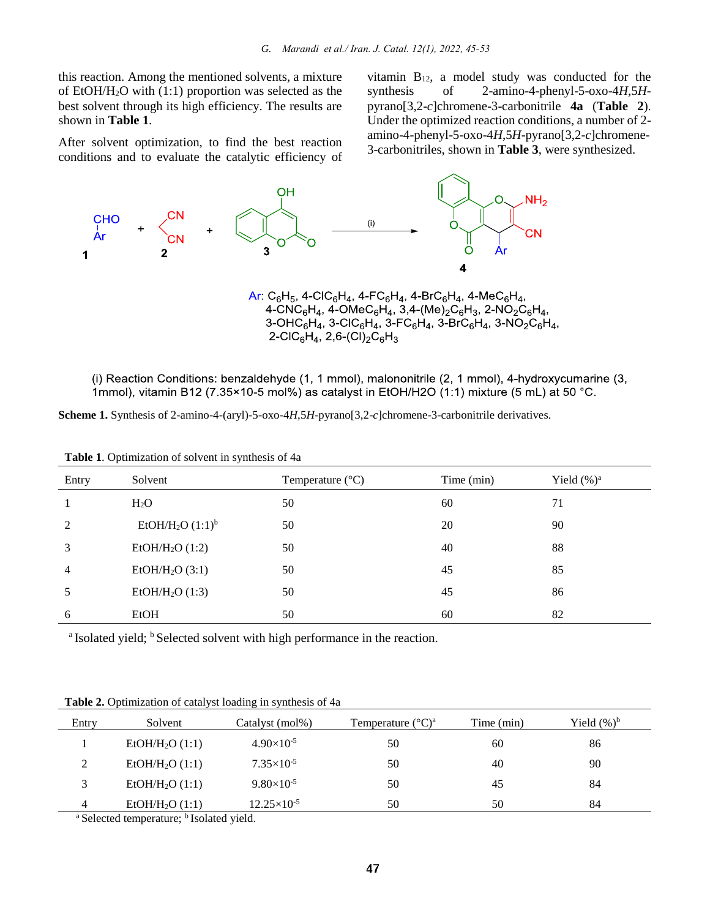this reaction. Among the mentioned solvents, a mixture of EtOH/H2O with (1:1) proportion was selected as the best solvent through its high efficiency. The results are shown in **Table 1**.

After solvent optimization, to find the best reaction conditions and to evaluate the catalytic efficiency of vitamin B12, a model study was conducted for the synthesis of 2-amino-4-phenyl-5-oxo-4*H*,5*H*pyrano[3,2-*c*]chromene-3-carbonitrile **4a** (**Table 2**). Under the optimized reaction conditions, a number of 2 amino-4-phenyl-5-oxo-4*H*,5*H*-pyrano[3,2-*c*]chromene-3-carbonitriles, shown in **Table 3**, were synthesized.



<sup>2-</sup>CIC<sub>6</sub>H<sub>4</sub>, 2,6-(CI)<sub>2</sub>C<sub>6</sub>H<sub>3</sub>

(i) Reaction Conditions: benzaldehyde (1, 1 mmol), malononitrile (2, 1 mmol), 4-hydroxycumarine (3, 1mmol), vitamin B12 (7.35×10-5 mol%) as catalyst in EtOH/H2O (1:1) mixture (5 mL) at 50 °C.

|  |  |  |  |  |  | Scheme 1. Synthesis of 2-amino-4-(aryl)-5-oxo-4H,5H-pyrano[3,2-c]chromene-3-carbonitrile derivatives. |  |  |
|--|--|--|--|--|--|-------------------------------------------------------------------------------------------------------|--|--|
|  |  |  |  |  |  |                                                                                                       |  |  |

| Entry          | Solvent                         | Temperature $(^{\circ}C)$ | Time (min) | Yield $(\%)^a$ |
|----------------|---------------------------------|---------------------------|------------|----------------|
|                | $H_2O$                          | 50                        | 60         | 71             |
| 2              | EtOH/H <sub>2</sub> O $(1:1)^b$ | 50                        | 20         | 90             |
| 3              | EtOH/H <sub>2</sub> O $(1:2)$   | 50                        | 40         | 88             |
| $\overline{4}$ | EtOH/H <sub>2</sub> O $(3:1)$   | 50                        | 45         | 85             |
| 5              | EtOH/H <sub>2</sub> O $(1:3)$   | 50                        | 45         | 86             |
| 6              | EtOH                            | 50                        | 60         | 82             |

**Table 1**. Optimization of solvent in synthesis of 4a

<sup>a</sup> Isolated yield; <sup>b</sup> Selected solvent with high performance in the reaction.

| Entry       | Solvent                     | Catalyst (mol%)      | Temperature $({}^{\circ}C)^{a}$ | Time (min) | Yield $(\%)^b$ |
|-------------|-----------------------------|----------------------|---------------------------------|------------|----------------|
|             | EtOH/H <sub>2</sub> O (1:1) | $4.90\times10^{-5}$  | 50                              | 60         | 86             |
| $\gamma$    | EtOH/H <sub>2</sub> O (1:1) | $7.35\times10^{-5}$  | 50                              | 40         | 90             |
| $\mathbf 3$ | EtOH/H <sub>2</sub> O (1:1) | $9.80\times10^{-5}$  | 50                              | 45         | 84             |
| 4           | EtOH/H <sub>2</sub> O (1:1) | $12.25\times10^{-5}$ | 50                              | 50         | 84             |

**Table 2.** Optimization of catalyst loading in synthesis of 4a

<sup>a</sup> Selected temperature; <sup>b</sup> Isolated yield.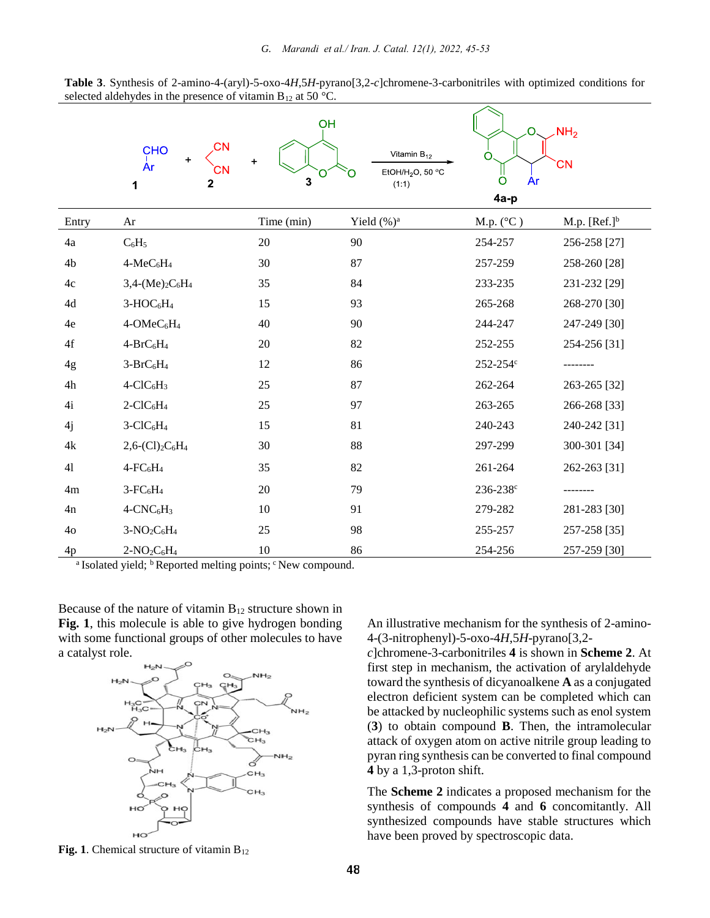| Table 3. Synthesis of 2-amino-4-(aryl)-5-oxo-4H,5H-pyrano[3,2-c]chromene-3-carbonitriles with optimized conditions for |  |  |
|------------------------------------------------------------------------------------------------------------------------|--|--|
| selected aldehydes in the presence of vitamin $B_{12}$ at 50 °C.                                                       |  |  |

|                | CΝ<br><b>CHO</b><br><b>Ar</b><br>CΝ<br>2<br>1 | OH<br>$\ddot{}$<br>3 | Vitamin $B_{12}$<br>EtOH/H <sub>2</sub> O, 50 $\,^{\circ}$ C<br>(1:1) | O<br>O<br>O<br>Ar<br>4a-p | NH <sub>2</sub><br><b>CN</b> |
|----------------|-----------------------------------------------|----------------------|-----------------------------------------------------------------------|---------------------------|------------------------------|
| Entry          | Ar                                            | Time (min)           | Yield (%) <sup>a</sup>                                                | M.p. $(^{\circ}C)$        | M.p. $[Ref.]^b$              |
| 4a             | $C_6H_5$                                      | $20\,$               | 90                                                                    | 254-257                   | 256-258 [27]                 |
| 4b             | $4-MeC6H4$                                    | 30                   | 87                                                                    | 257-259                   | 258-260 [28]                 |
| 4c             | $3,4-(Me)_{2}C_{6}H_{4}$                      | 35                   | 84                                                                    | 233-235                   | 231-232 [29]                 |
| 4d             | $3-HOC6H4$                                    | 15                   | 93                                                                    | 265-268                   | 268-270 [30]                 |
| 4e             | $4$ -OMe $C_6H_4$                             | 40                   | 90                                                                    | 244-247                   | 247-249 [30]                 |
| 4f             | $4-BrC6H4$                                    | 20                   | 82                                                                    | 252-255                   | 254-256 [31]                 |
| 4g             | $3-BrC6H4$                                    | 12                   | 86                                                                    | 252-254c                  |                              |
| 4h             | $4-CIC6H3$                                    | 25                   | 87                                                                    | 262-264                   | 263-265 [32]                 |
| 4i             | $2$ -ClC <sub>6</sub> H <sub>4</sub>          | 25                   | 97                                                                    | 263-265                   | 266-268 [33]                 |
| 4j             | $3-CIC6H4$                                    | 15                   | 81                                                                    | 240-243                   | 240-242 [31]                 |
| 4k             | $2,6-(Cl)_{2}C_{6}H_{4}$                      | $30\,$               | 88                                                                    | 297-299                   | 300-301 [34]                 |
| 41             | $4$ -FC $_6$ H <sub>4</sub>                   | 35                   | 82                                                                    | 261-264                   | 262-263 [31]                 |
| 4m             | $3-FC6H4$                                     | 20                   | 79                                                                    | 236-238c                  |                              |
| 4n             | $4$ -CNC $_6$ H <sub>3</sub>                  | 10                   | 91                                                                    | 279-282                   | 281-283 [30]                 |
| 4 <sub>o</sub> | $3-NO_2C_6H_4$                                | 25                   | 98                                                                    | 255-257                   | 257-258 [35]                 |
| 4p             | $2-NO_2C_6H_4$                                | 10                   | 86                                                                    | 254-256                   | 257-259 [30]                 |

<sup>a</sup> Isolated yield; <sup>b</sup> Reported melting points; <sup>c</sup> New compound.

Because of the nature of vitamin  $B_{12}$  structure shown in **Fig. 1**, this molecule is able to give hydrogen bonding with some functional groups of other molecules to have a catalyst role.



An illustrative mechanism for the synthesis of 2-amino-4-(3-nitrophenyl)-5-oxo-4*H*,5*H*-pyrano[3,2-

*c*]chromene-3-carbonitriles **4** is shown in **Scheme 2**. At first step in mechanism, the activation of arylaldehyde toward the synthesis of dicyanoalkene **A** as a conjugated electron deficient system can be completed which can be attacked by nucleophilic systems such as enol system (**3**) to obtain compound **B**. Then, the intramolecular attack of oxygen atom on active nitrile group leading to pyran ring synthesis can be converted to final compound **4** by a 1,3-proton shift.

The **Scheme 2** indicates a proposed mechanism for the synthesis of compounds **4** and **6** concomitantly. All synthesized compounds have stable structures which have been proved by spectroscopic data.

**Fig. 1**. Chemical structure of vitamin  $B_{12}$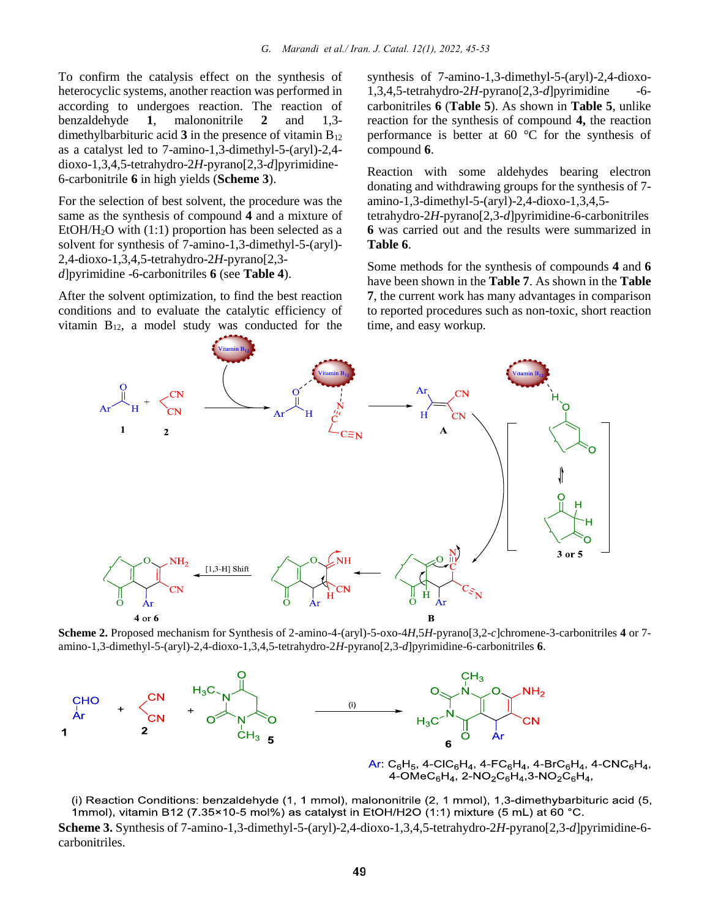To confirm the catalysis effect on the synthesis of heterocyclic systems, another reaction was performed in according to undergoes reaction. The reaction of benzaldehyde **1**, malononitrile **2** and 1,3 dimethylbarbituric acid  $3$  in the presence of vitamin  $B_{12}$ as a catalyst led to 7-amino-1,3-dimethyl-5-(aryl)-2,4 dioxo-1,3,4,5-tetrahydro-2*H*-pyrano[2,3-*d*]pyrimidine-6-carbonitrile **6** in high yields (**Scheme 3**).

For the selection of best solvent, the procedure was the same as the synthesis of compound **4** and a mixture of EtOH/H<sub>2</sub>O with  $(1:1)$  proportion has been selected as a solvent for synthesis of 7-amino-1,3-dimethyl-5-(aryl)- 2,4-dioxo-1,3,4,5-tetrahydro-2*H*-pyrano[2,3 *d*]pyrimidine -6-carbonitriles **6** (see **Table 4**).

After the solvent optimization, to find the best reaction conditions and to evaluate the catalytic efficiency of vitamin B12, a model study was conducted for the synthesis of 7-amino-1,3-dimethyl-5-(aryl)-2,4-dioxo-1,3,4,5-tetrahydro-2*H*-pyrano[2,3-*d*]pyrimidine -6 carbonitriles **6** (**Table 5**). As shown in **Table 5**, unlike reaction for the synthesis of compound **4,** the reaction performance is better at 60 °C for the synthesis of compound **6**.

Reaction with some aldehydes bearing electron donating and withdrawing groups for the synthesis of 7 amino-1,3-dimethyl-5-(aryl)-2,4-dioxo-1,3,4,5-

tetrahydro-2*H*-pyrano[2,3-*d*]pyrimidine-6-carbonitriles **6** was carried out and the results were summarized in **Table 6**.

Some methods for the synthesis of compounds **4** and **6** have been shown in the **Table 7**. As shown in the **Table 7**, the current work has many advantages in comparison to reported procedures such as non-toxic, short reaction time, and easy workup.



**Scheme 2.** Proposed mechanism for Synthesis of 2-amino-4-(aryl)-5-oxo-4*H*,5*H*-pyrano[3,2-*c*]chromene-3-carbonitriles **4** or 7 amino-1,3-dimethyl-5-(aryl)-2,4-dioxo-1,3,4,5-tetrahydro-2*H*-pyrano[2,3-*d*]pyrimidine-6-carbonitriles **6**.



 $Ar: C_6H_5$ , 4-CIC $_6H_4$ , 4-FC $_6H_4$ , 4-BrC $_6H_4$ , 4-CNC $_6H_4$ , 4-OMeC<sub>6</sub>H<sub>4</sub>, 2-NO<sub>2</sub>C<sub>6</sub>H<sub>4</sub>, 3-NO<sub>2</sub>C<sub>6</sub>H<sub>4</sub>,

(i) Reaction Conditions: benzaldehyde (1, 1 mmol), malononitrile (2, 1 mmol), 1,3-dimethybarbituric acid (5, 1mmol), vitamin B12 (7.35×10-5 mol%) as catalyst in EtOH/H2O (1:1) mixture (5 mL) at 60 °C.

**Scheme 3.** Synthesis of 7-amino-1,3-dimethyl-5-(aryl)-2,4-dioxo-1,3,4,5-tetrahydro-2*H*-pyrano[2,3-*d*]pyrimidine-6 carbonitriles.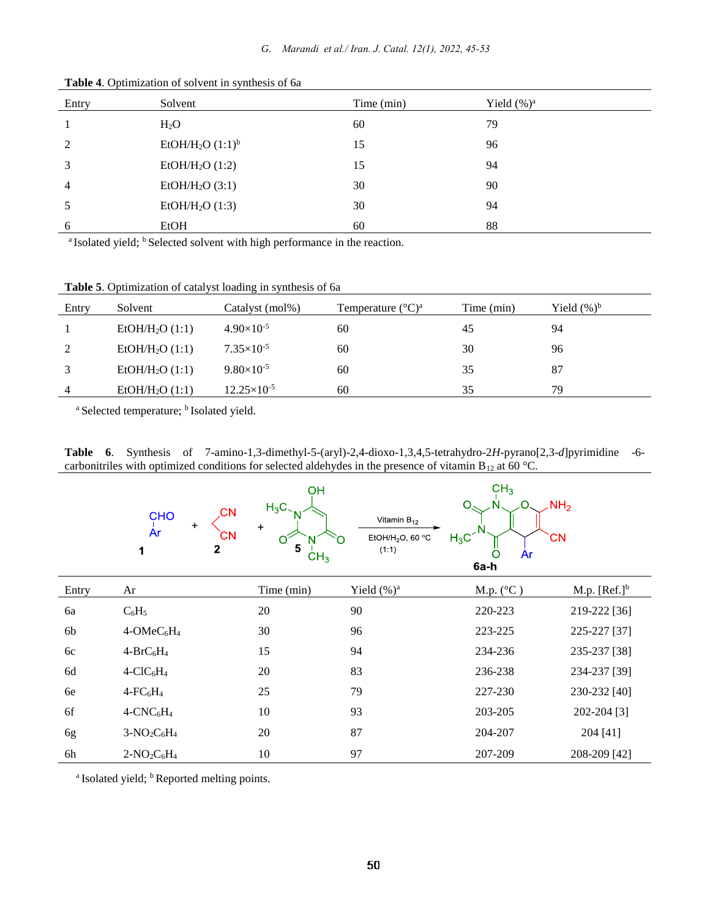| Entry          | Solvent                                                                                                        | Time (min)                                                              | Yield $(\%)^a$ |
|----------------|----------------------------------------------------------------------------------------------------------------|-------------------------------------------------------------------------|----------------|
|                | $H_2O$                                                                                                         | 60                                                                      | 79             |
| 2              | EtOH/H <sub>2</sub> O $(1:1)^b$                                                                                | 15                                                                      | 96             |
| 3              | $EtOH/H2O$ (1:2)                                                                                               | 15                                                                      | 94             |
| $\overline{4}$ | EtOH/H <sub>2</sub> O (3:1)                                                                                    | 30                                                                      | 90             |
| 5              | EtOH/H <sub>2</sub> O $(1:3)$                                                                                  | 30                                                                      | 94             |
| 6              | EtOH                                                                                                           | 60                                                                      | 88             |
|                | ave e estado e e escucero a la contrada e a la contrada de la contrada de la contrada de la contrada de la con | $\mathbf{a}$ and $\mathbf{a}$ are associated to the set of $\mathbf{a}$ |                |

**Table 4**. Optimization of solvent in synthesis of 6a

<sup>a</sup> Isolated yield; <sup>b</sup> Selected solvent with high performance in the reaction.

**Table 5**. Optimization of catalyst loading in synthesis of 6a

| Entry                  | Solvent                     | Catalyst (mol%)      | Temperature $({}^{\circ}C)^{a}$ | Time (min) | Yield $(\%)^b$ |
|------------------------|-----------------------------|----------------------|---------------------------------|------------|----------------|
|                        | EtOH/H <sub>2</sub> O (1:1) | $4.90\times10^{-5}$  | 60                              | 45         | 94             |
| 2                      | EtOH/H <sub>2</sub> O (1:1) | $7.35\times10^{-5}$  | 60                              | 30         | 96             |
| $\mathbf{\mathcal{R}}$ | EtOH/H <sub>2</sub> O (1:1) | $9.80\times10^{-5}$  | 60                              | 35         | 87             |
| $\overline{4}$         | EtOH/H <sub>2</sub> O (1:1) | $12.25\times10^{-5}$ | 60                              | 35         | 79             |

<sup>a</sup> Selected temperature; <sup>b</sup> Isolated yield.

**Table 6**. Synthesis of 7-amino-1,3-dimethyl-5-(aryl)-2,4-dioxo-1,3,4,5-tetrahydro-2*H*-pyrano[2,3-*d*]pyrimidine -6 carbonitriles with optimized conditions for selected aldehydes in the presence of vitamin B<sub>12</sub> at 60 °C.

|       | .CN<br><b>CHO</b><br>÷<br>Ar<br>CΝ<br>$\mathbf{2}$<br>1 | OH<br>$H_3C_$<br>N<br>$\ddot{}$<br>O<br>5<br>CH <sub>3</sub> | Vitamin $B_{12}$<br>$H_3C$<br>EtOH/H <sub>2</sub> O, 60 $\,^{\circ}$ C<br>(1:1) | CH <sub>3</sub><br>NH <sub>2</sub><br>Ω<br><b>CN</b><br>Ar<br>О<br>6a-h |                 |
|-------|---------------------------------------------------------|--------------------------------------------------------------|---------------------------------------------------------------------------------|-------------------------------------------------------------------------|-----------------|
| Entry | Ar                                                      | Time (min)                                                   | Yield $(\%)^a$                                                                  | M.p. $(^{\circ}C)$                                                      | M.p. $[Ref.]^b$ |
| 6a    | $C_6H_5$                                                | 20                                                           | 90                                                                              | 220-223                                                                 | 219-222 [36]    |
| 6b    | 4-OMeC <sub>6</sub> H <sub>4</sub>                      | 30                                                           | 96                                                                              | 223-225                                                                 | 225-227 [37]    |
| 6c    | $4-BrC_6H_4$                                            | 15                                                           | 94                                                                              | 234-236                                                                 | 235-237 [38]    |
| 6d    | $4-CIC6H4$                                              | 20                                                           | 83                                                                              | 236-238                                                                 | 234-237 [39]    |
| 6e    | $4$ -FC $_6$ H <sub>4</sub>                             | 25                                                           | 79                                                                              | 227-230                                                                 | 230-232 [40]    |
| 6f    | $4$ -CNC <sub>6</sub> H <sub>4</sub>                    | 10                                                           | 93                                                                              | 203-205                                                                 | 202-204 [3]     |
| 6g    | $3-NO_2C_6H_4$                                          | 20                                                           | 87                                                                              | 204-207                                                                 | 204 [41]        |
| 6h    | $2-NO2C6H4$                                             | 10                                                           | 97                                                                              | 207-209                                                                 | 208-209 [42]    |

<sup>a</sup> Isolated yield; <sup>b</sup> Reported melting points.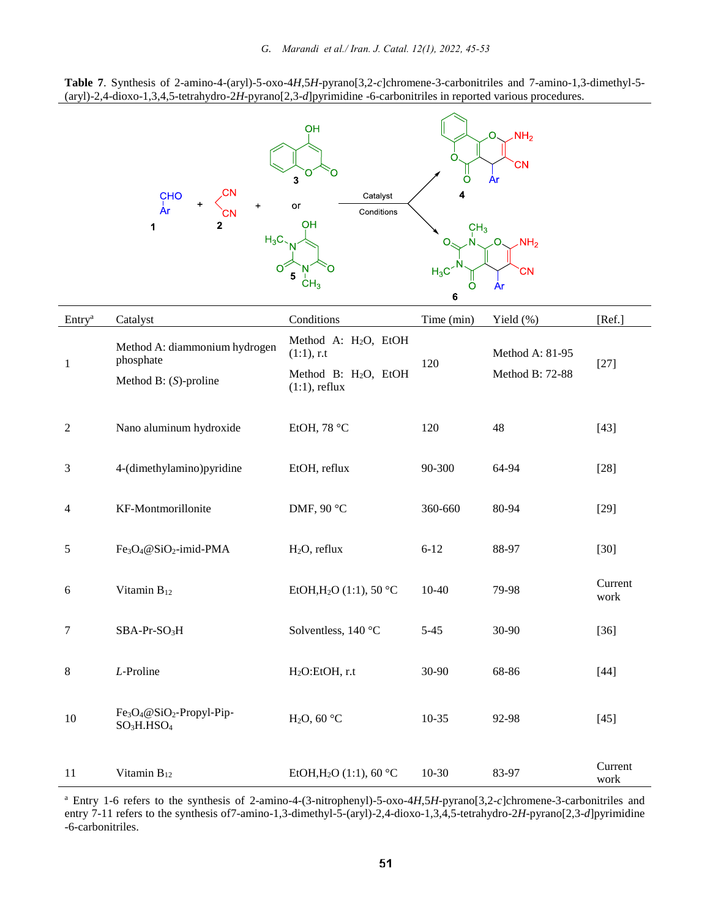

|                    | CHO<br>$\ddot{}$<br>$\overline{A}r$<br>$\mathbf{2}$<br>1<br>$H_3C$                                  | OH<br>3<br>Catalyst<br>or<br>Conditions<br>OH<br>5<br>CH <sub>3</sub>                                     | O<br>O<br>CH <sub>3</sub><br>$H_3C$<br>O<br>6 | NH <sub>2</sub><br>O<br><b>CN</b><br>Ar<br>NH <sub>2</sub><br>CΝ<br>Ar |                 |
|--------------------|-----------------------------------------------------------------------------------------------------|-----------------------------------------------------------------------------------------------------------|-----------------------------------------------|------------------------------------------------------------------------|-----------------|
| Entry <sup>a</sup> | Catalyst                                                                                            | Conditions                                                                                                | Time (min)                                    | Yield (%)                                                              | [Ref.]          |
| $\mathbf{1}$       | Method A: diammonium hydrogen<br>phosphate<br>Method B: $(S)$ -proline                              | Method A: H <sub>2</sub> O, EtOH<br>$(1:1)$ , r.t<br>Method B: H <sub>2</sub> O, EtOH<br>$(1:1)$ , reflux | 120                                           | Method A: 81-95<br>Method B: 72-88                                     | $[27]$          |
| $\overline{2}$     | Nano aluminum hydroxide                                                                             | EtOH, 78 °C                                                                                               | 120                                           | 48                                                                     | $[43]$          |
| 3                  | 4-(dimethylamino)pyridine                                                                           | EtOH, reflux                                                                                              | 90-300                                        | 64-94                                                                  | $[28]$          |
| $\overline{4}$     | KF-Montmorillonite                                                                                  | DMF, 90 °C                                                                                                | 360-660                                       | 80-94                                                                  | $[29]$          |
| 5                  | Fe <sub>3</sub> O <sub>4</sub> @SiO <sub>2</sub> -imid-PMA                                          | $H2O$ , reflux                                                                                            | $6 - 12$                                      | 88-97                                                                  | $[30]$          |
| 6                  | Vitamin $B_{12}$                                                                                    | EtOH, $H_2O(1:1)$ , 50 °C                                                                                 | $10-40$                                       | 79-98                                                                  | Current<br>work |
| 7                  | SBA-Pr-SO <sub>3</sub> H                                                                            | Solventless, 140 °C                                                                                       | $5 - 45$                                      | 30-90                                                                  | $[36]$          |
| $\,8\,$            | $L$ -Proline                                                                                        | H <sub>2</sub> O:EtOH, r.t                                                                                | 30-90                                         | 68-86                                                                  | $[44]$          |
| 10                 | Fe <sub>3</sub> O <sub>4</sub> @SiO <sub>2</sub> -Propyl-Pip-<br>SO <sub>3</sub> H.HSO <sub>4</sub> | H <sub>2</sub> O, 60 $\degree$ C                                                                          | $10-35$                                       | 92-98                                                                  | $[45]$          |
| 11                 | Vitamin B <sub>12</sub>                                                                             | EtOH, H <sub>2</sub> O (1:1), 60 °C                                                                       | $10-30$                                       | 83-97                                                                  | Current<br>work |

<sup>a</sup> Entry 1-6 refers to the synthesis of 2-amino-4-(3-nitrophenyl)-5-oxo-4*H*,5*H*-pyrano[3,2-*c*]chromene-3-carbonitriles and entry 7-11 refers to the synthesis of7-amino-1,3-dimethyl-5-(aryl)-2,4-dioxo-1,3,4,5-tetrahydro-2*H*-pyrano[2,3-*d*]pyrimidine -6-carbonitriles.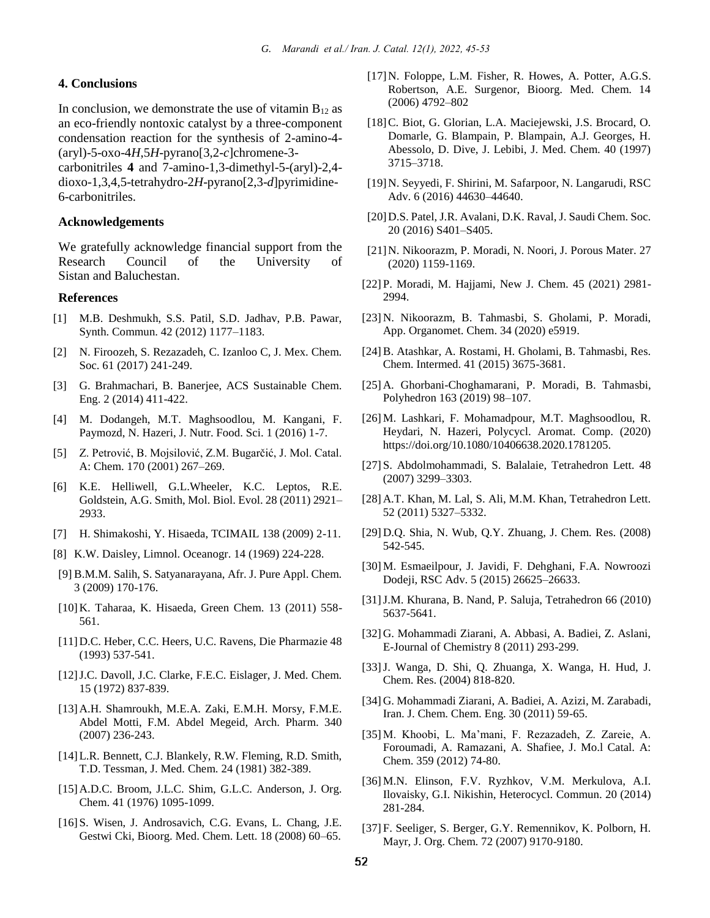#### **4. Conclusions**

In conclusion, we demonstrate the use of vitamin  $B_{12}$  as an eco-friendly nontoxic catalyst by a three-component condensation reaction for the synthesis of 2-amino-4- (aryl)-5-oxo-4*H*,5*H*-pyrano[3,2-*c*]chromene-3-

carbonitriles **4** and 7-amino-1,3-dimethyl-5-(aryl)-2,4 dioxo-1,3,4,5-tetrahydro-2*H*-pyrano[2,3-*d*]pyrimidine-6-carbonitriles.

#### **Acknowledgements**

We gratefully acknowledge financial support from the Research Council of the University of Sistan and Baluchestan.

#### **References**

- [1] M.B. Deshmukh, S.S. Patil, S.D. Jadhav, P.B. Pawar, Synth. Commun. 42 (2012) 1177–1183.
- [2] N. Firoozeh, S. Rezazadeh, C. Izanloo C, J. Mex. Chem. Soc. 61 (2017) 241-249.
- [3] G. Brahmachari, B. Banerjee, ACS Sustainable Chem. Eng. 2 (2014) 411-422.
- [4] M. Dodangeh, M.T. Maghsoodlou, M. Kangani, F. Paymozd, N. Hazeri, J. Nutr. Food. Sci. 1 (2016) 1-7.
- [5] Z. Petrović, B. Mojsilović, Z.M. Bugarčić, J. Mol. Catal. A: Chem. 170 (2001) 267–269.
- [6] K.E. Helliwell, G.L.Wheeler, K.C. Leptos, R.E. Goldstein, A.G. Smith, Mol. Biol. Evol. 28 (2011) 2921– 2933.
- [7] H. Shimakoshi, Y. Hisaeda, TCIMAIL 138 (2009) 2-11.
- [8] K.W. Daisley, Limnol. Oceanogr. 14 (1969) 224-228.
- [9] B.M.M. Salih, S. Satyanarayana, Afr. J. Pure Appl. Chem. 3 (2009) 170-176.
- [10]K. Taharaa, K. Hisaeda, Green Chem. 13 (2011) 558- 561.
- [11]D.C. Heber, C.C. Heers, U.C. Ravens, Die Pharmazie 48 (1993) 537-541.
- [12]J.C. Davoll, J.C. Clarke, F.E.C. Eislager, J. Med. Chem. 15 (1972) 837-839.
- [13]A.H. Shamroukh, M.E.A. Zaki, E.M.H. Morsy, F.M.E. Abdel Motti, F.M. Abdel Megeid, Arch. Pharm. 340 (2007) 236-243.
- [14] L.R. Bennett, C.J. Blankely, R.W. Fleming, R.D. Smith, T.D. Tessman, J. Med. Chem. 24 (1981) 382-389.
- [15] A.D.C. Broom, J.L.C. Shim, G.L.C. Anderson, J. Org. Chem. 41 (1976) 1095-1099.
- [16] S. Wisen, J. Androsavich, C.G. Evans, L. Chang, J.E. Gestwi Cki, Bioorg. Med. Chem. Lett. 18 (2008) 60–65.
- [17]N. Foloppe, L.M. Fisher, R. Howes, A. Potter, A.G.S. Robertson, A.E. Surgenor, Bioorg. Med. Chem. 14 (2006) 4792–802
- [18]C. Biot, G. Glorian, L.A. Maciejewski, J.S. Brocard, O. Domarle, G. Blampain, P. Blampain, A.J. Georges, H. Abessolo, D. Dive, J. Lebibi, J. Med. Chem. 40 (1997) 3715–3718.
- [19]N. Seyyedi, F. Shirini, M. Safarpoor, N. Langarudi, RSC Adv. 6 (2016) 44630–44640.
- [20]D.S. Patel, J.R. Avalani, D.K. Raval, J. Saudi Chem. Soc. 20 (2016) S401–S405.
- [21]N. Nikoorazm, P. Moradi, N. Noori, J. Porous Mater. 27 (2020) 1159-1169.
- [22] P. Moradi, M. Hajjami, New J. Chem. 45 (2021) 2981- 2994.
- [23] N. Nikoorazm, B. Tahmasbi, S. Gholami, P. Moradi, App. Organomet. Chem. 34 (2020) e5919.
- [24]B. Atashkar, A. Rostami, H. Gholami, B. Tahmasbi, Res. Chem. Intermed. 41 (2015) 3675-3681.
- [25] A. Ghorbani-Choghamarani, P. Moradi, B. Tahmasbi, Polyhedron 163 (2019) 98–107.
- [26] M. Lashkari, F. Mohamadpour, M.T. Maghsoodlou, R. Heydari, N. Hazeri, Polycycl. Aromat. Comp. (2020) https://doi.org/10.1080/10406638.2020.1781205.
- [27] S. Abdolmohammadi, S. Balalaie, Tetrahedron Lett. 48 (2007) 3299–3303.
- [28] A.T. Khan, M. Lal, S. Ali, M.M. Khan, Tetrahedron Lett. 52 (2011) 5327–5332.
- [29] D.Q. Shia, N. Wub, Q.Y. Zhuang, J. Chem. Res. (2008) 542-545.
- [30] M. Esmaeilpour, J. Javidi, F. Dehghani, F.A. Nowroozi Dodeji, RSC Adv. 5 (2015) 26625–26633.
- [31]J.M. Khurana, B. Nand, P. Saluja, Tetrahedron 66 (2010) 5637-5641.
- [32] G. Mohammadi Ziarani, A. Abbasi, A. Badiei, Z. Aslani, E-Journal of Chemistry 8 (2011) 293-299.
- [33]J. Wanga, D. Shi, Q. Zhuanga, X. Wanga, H. Hud, J. Chem. Res. (2004) 818-820.
- [34] G. Mohammadi Ziarani, A. Badiei, A. Azizi, M. Zarabadi, Iran. J. Chem. Chem. Eng. 30 (2011) 59-65.
- [35] M. Khoobi, L. Ma'mani, F. Rezazadeh, Z. Zareie, A. Foroumadi, A. Ramazani, A. Shafiee, J. Mo.l Catal. A: Chem. 359 (2012) 74-80.
- [36] M.N. Elinson, F.V. Ryzhkov, V.M. Merkulova, A.I. Ilovaisky, G.I. Nikishin, Heterocycl. Commun. 20 (2014) 281-284.
- [37] F. Seeliger, S. Berger, G.Y. Remennikov, K. Polborn, H. Mayr, J. Org. Chem. 72 (2007) 9170-9180.